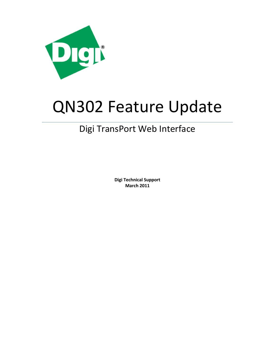

# QN302 Feature Update

## Digi TransPort Web Interface

**Digi Technical Support March 2011**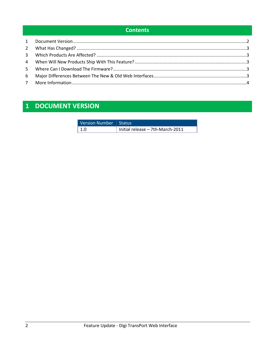#### **Contents**

### <span id="page-1-0"></span>1 DOCUMENT VERSION

| Version Number   Status |                                    |
|-------------------------|------------------------------------|
| $\vert$ 1.0             | Initial release $-$ 7th-March-2011 |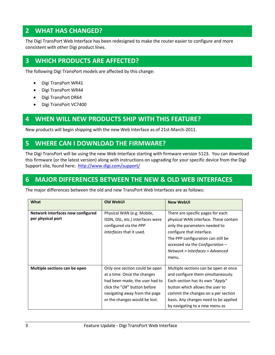#### <span id="page-2-0"></span>**2 WHAT HAS CHANGED?**

The Digi TransPort Web Interface has been redesigned to make the router easier to configure and more consistent with other Digi product lines.

#### <span id="page-2-1"></span>**3 WHICH PRODUCTS ARE AFFECTED?**

The following Digi TransPort models are affected by this change:

- Digi TransPort WR41
- Digi TransPort WR44
- Digi TransPort DR64
- Digi TransPort VC7400

#### <span id="page-2-2"></span>**4 WHEN WILL NEW PRODUCTS SHIP WITH THIS FEATURE?**

New products will begin shipping with the new Web Interface as of 21st-March-2011.

#### <span id="page-2-3"></span>**5 WHERE CAN I DOWNLOAD THE FIRMWARE?**

The Digi TransPort will be using the new Web Interface starting with firmware version 5123. You can download this firmware (or the latest version) along with instructions on upgrading for your specific device from the Digi Support site, found here:<http://www.digi.com/support/>

#### <span id="page-2-4"></span>**6 MAJOR DIFFERENCES BETWEEN THE NEW & OLD WEB INTERFACES**

The major differences between the old and new TransPort Web Interfaces are as follows:

| What                                                   | <b>Old WebUI</b>                                                                                                                                                                                  | <b>New WebUI</b>                                                                                                                                                                                                                                                     |
|--------------------------------------------------------|---------------------------------------------------------------------------------------------------------------------------------------------------------------------------------------------------|----------------------------------------------------------------------------------------------------------------------------------------------------------------------------------------------------------------------------------------------------------------------|
| Network interfaces now configured<br>per physical port | Physical WAN (e.g. Mobile,<br>ISDN, DSL, etc.) interfaces were<br>configured via the PPP<br><i>interfaces</i> that it used.                                                                       | There are specific pages for each<br>physical WAN interface. These contain<br>only the parameters needed to<br>configure that interface.<br>The PPP configuration can still be<br>accessed via the Configuration -<br>Network > Interfaces > Advanced<br>menu.       |
| Multiple sections can be open                          | Only one section could be open<br>at a time. Once the changes<br>had been made, the user had to<br>click the "OK" button before<br>navigating away from the page<br>or the changes would be lost. | Multiple sections can be open at once<br>and configure them simultaneously.<br>Each section has its own "Apply"<br>button which allows the user to<br>commit the changes on a per section<br>basis. Any changes need to be applied<br>by navigating to a new menu as |